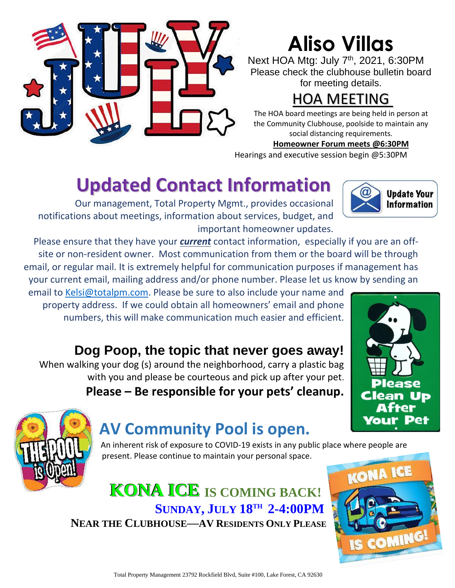

# **Aliso Villas**

Next HOA Mtg: July 7<sup>th</sup>, 2021, 6:30PM Please check the clubhouse bulletin board for meeting details.

## HOA MEETING

The HOA board meetings are being held in person at the Community Clubhouse, poolside to maintain any social distancing requirements.

#### **Homeowner Forum meets @6:30PM**

Hearings and executive session begin @5:30PM

# **Updated Contact Information**

Our management, Total Property Mgmt., provides occasional notifications about meetings, information about services, budget, and important homeowner updates.

Please ensure that they have your *current* contact information, especially if you are an offsite or non-resident owner. Most communication from them or the board will be through email, or regular mail. It is extremely helpful for communication purposes if management has your current email, mailing address and/or phone number. Please let us know by sending an

email to [Kelsi@totalpm.com.](mailto:Kelsi@totalpm.com) Please be sure to also include your name and property address. If we could obtain all homeowners' email and phone numbers, this will make communication much easier and efficient.

### **Dog Poop, the topic that never goes away!**

When walking your dog (s) around the neighborhood, carry a plastic bag with you and please be courteous and pick up after your pet. **Please – Be responsible for your pets' cleanup.**





## **AV Community Pool is open.**

An inherent risk of exposure to COVID-19 exists in any public place where people are present. Please continue to maintain your personal space.

## **KONA ICE IS COMING BACK! SUNDAY, JULY 18TH 2-4:00PM**

**NEAR THE CLUBHOUSE—AV RESIDENTS ONLY PLEASE**



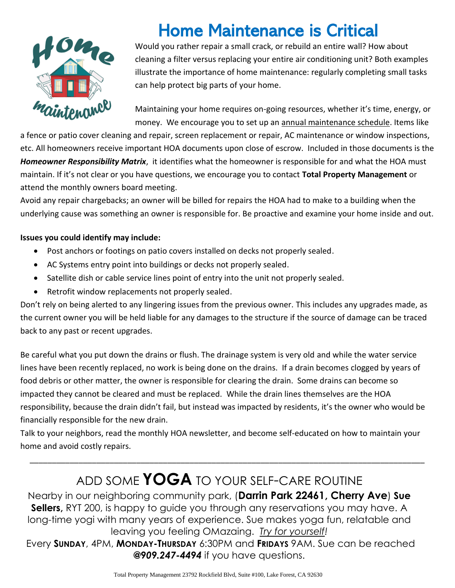

## Home Maintenance is Critical

Would you rather repair a small crack, or rebuild an entire wall? How about cleaning a filter versus replacing your entire air conditioning unit? Both examples illustrate the importance of home maintenance: regularly completing small tasks can help protect big parts of your home.

Maintaining your home requires on-going resources, whether it's time, energy, or money. We encourage you to set up an annual maintenance schedule. Items like

a fence or patio cover cleaning and repair, screen replacement or repair, AC maintenance or window inspections, etc. All homeowners receive important HOA documents upon close of escrow. Included in those documents is the *Homeowner Responsibility Matrix*, it identifies what the homeowner is responsible for and what the HOA must maintain. If it's not clear or you have questions, we encourage you to contact **Total Property Management** or attend the monthly owners board meeting.

Avoid any repair chargebacks; an owner will be billed for repairs the HOA had to make to a building when the underlying cause was something an owner is responsible for. Be proactive and examine your home inside and out.

#### **Issues you could identify may include:**

- Post anchors or footings on patio covers installed on decks not properly sealed.
- AC Systems entry point into buildings or decks not properly sealed.
- Satellite dish or cable service lines point of entry into the unit not properly sealed.
- Retrofit window replacements not properly sealed.

Don't rely on being alerted to any lingering issues from the previous owner. This includes any upgrades made, as the current owner you will be held liable for any damages to the structure if the source of damage can be traced back to any past or recent upgrades.

Be careful what you put down the drains or flush. The drainage system is very old and while the water service lines have been recently replaced, no work is being done on the drains. If a drain becomes clogged by years of food debris or other matter, the owner is responsible for clearing the drain. Some drains can become so impacted they cannot be cleared and must be replaced. While the drain lines themselves are the HOA responsibility, because the drain didn't fail, but instead was impacted by residents, it's the owner who would be financially responsible for the new drain.

Talk to your neighbors, read the monthly HOA newsletter, and become self-educated on how to maintain your home and avoid costly repairs.

\_\_\_\_\_\_\_\_\_\_\_\_\_\_\_\_\_\_\_\_\_\_\_\_\_\_\_\_\_\_\_\_\_\_\_\_\_\_\_\_\_\_\_\_\_\_\_\_\_\_\_\_\_\_\_\_\_\_\_\_\_\_\_\_\_\_\_\_\_\_\_\_\_\_\_\_\_\_\_\_\_\_\_\_\_\_\_\_\_

### ADD SOME **YOGA** TO YOUR SELF-CARE ROUTINE

Nearby in our neighboring community park, (**Darrin Park 22461, Cherry Ave**) **Sue Sellers,** RYT 200, is happy to guide you through any reservations you may have. A long-time yogi with many years of experience. Sue makes yoga fun, relatable and leaving you feeling OMazaing. *Try for yourself!*

Every **SUNDAY**, 4PM, **MONDAY-THURSDAY** 6:30PM and **FRIDAYS** 9AM. Sue can be reached *@909.247-4494* if you have questions.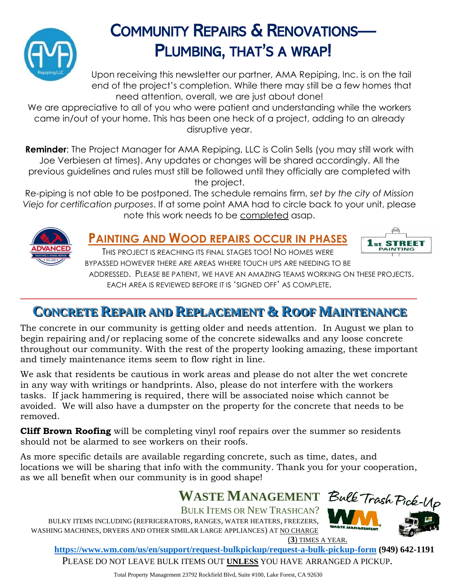

## COMMUNITY REPAIRS & RENOVATIONS— PLUMBING, THAT'S A WRAP!

Upon receiving this newsletter our partner, AMA Repiping, Inc. is on the tail end of the project's completion. While there may still be a few homes that need attention, overall, we are just about done!

We are appreciative to all of you who were patient and understanding while the workers came in/out of your home. This has been one heck of a project, adding to an already disruptive year.

**Reminder**: The Project Manager for AMA Repiping, LLC is Colin Sells (you may still work with Joe Verbiesen at times). Any updates or changes will be shared accordingly. All the previous guidelines and rules must still be followed until they officially are completed with the project.

Re-piping is not able to be postponed. The schedule remains firm, *set by the city of Mission Viejo for certification purposes*. If at some point AMA had to circle back to your unit, please note this work needs to be completed asap.



#### **PAINTING AND WOOD REPAIRS OCCUR IN PHASES**



THIS PROJECT IS REACHING ITS FINAL STAGES TOO! NO HOMES WERE BYPASSED HOWEVER THERE ARE AREAS WHERE TOUCH UPS ARE NEEDING TO BE ADDRESSED. PLEASE BE PATIENT, WE HAVE AN AMAZING TEAMS WORKING ON THESE PROJECTS.

EACH AREA IS REVIEWED BEFORE IT IS 'SIGNED OFF' AS COMPLETE. **\_\_\_\_\_\_\_\_\_\_\_\_\_\_\_\_\_\_\_\_\_\_\_\_\_\_\_\_\_\_\_\_\_\_\_\_\_\_\_\_\_\_\_\_\_\_\_\_\_\_\_\_\_\_\_\_\_\_\_\_\_\_\_\_\_\_\_\_\_\_\_\_\_\_\_\_\_\_\_\_\_\_\_\_\_\_\_\_\_**

### **CONCRETE REPAIR AND REPLACEMENT & ROOF MAINTENANCE**

The concrete in our community is getting older and needs attention. In August we plan to begin repairing and/or replacing some of the concrete sidewalks and any loose concrete throughout our community. With the rest of the property looking amazing, these important and timely maintenance items seem to flow right in line.

We ask that residents be cautious in work areas and please do not alter the wet concrete in any way with writings or handprints. Also, please do not interfere with the workers tasks. If jack hammering is required, there will be associated noise which cannot be avoided. We will also have a dumpster on the property for the concrete that needs to be removed.

**Cliff Brown Roofing** will be completing vinyl roof repairs over the summer so residents should not be alarmed to see workers on their roofs.

As more specific details are available regarding concrete, such as time, dates, and locations we will be sharing that info with the community. Thank you for your cooperation, as we all benefit when our community is in good shape!

# WASTE MANAGEMENT Bulk Trash Pick-Up

BULK ITEMS OR NEW TRASHCAN? BULKY ITEMS INCLUDING (REFRIGERATORS, RANGES, WATER HEATERS, FREEZERS, WASHING MACHINES, DRYERS AND OTHER SIMILAR LARGE APPLIANCES) AT NO CHARGE



(**3**) TIMES A YEAR.

**<https://www.wm.com/us/en/support/request-bulkpickup/request-a-bulk-pickup-form> (949) 642-1191**

PLEASE DO NOT LEAVE BULK ITEMS OUT **UNLESS** YOU HAVE ARRANGED A PICKUP.